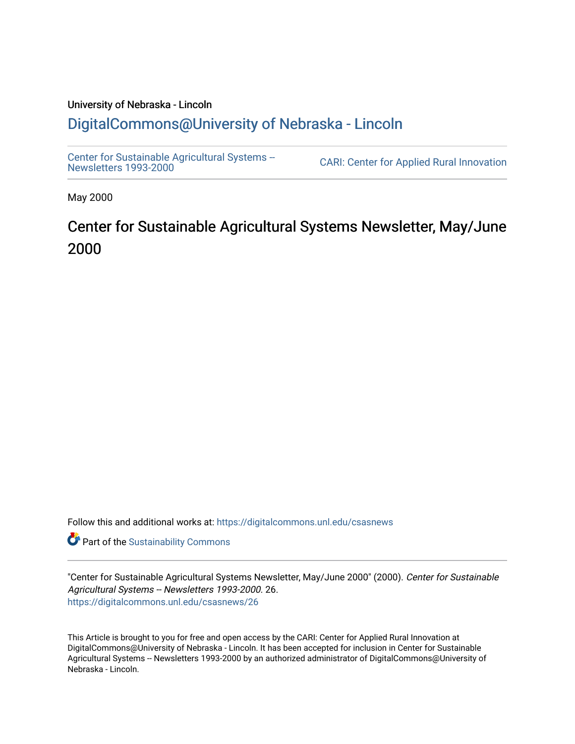#### University of Nebraska - Lincoln [DigitalCommons@University of Nebraska - Lincoln](https://digitalcommons.unl.edu/)

[Center for Sustainable Agricultural Systems --](https://digitalcommons.unl.edu/csasnews)<br>Newsletters 1993-2000

CARI: Center for Applied Rural Innovation

May 2000

# Center for Sustainable Agricultural Systems Newsletter, May/June 2000

Follow this and additional works at: [https://digitalcommons.unl.edu/csasnews](https://digitalcommons.unl.edu/csasnews?utm_source=digitalcommons.unl.edu%2Fcsasnews%2F26&utm_medium=PDF&utm_campaign=PDFCoverPages) 

**Part of the [Sustainability Commons](http://network.bepress.com/hgg/discipline/1031?utm_source=digitalcommons.unl.edu%2Fcsasnews%2F26&utm_medium=PDF&utm_campaign=PDFCoverPages)** 

"Center for Sustainable Agricultural Systems Newsletter, May/June 2000" (2000). Center for Sustainable Agricultural Systems -- Newsletters 1993-2000. 26. [https://digitalcommons.unl.edu/csasnews/26](https://digitalcommons.unl.edu/csasnews/26?utm_source=digitalcommons.unl.edu%2Fcsasnews%2F26&utm_medium=PDF&utm_campaign=PDFCoverPages) 

This Article is brought to you for free and open access by the CARI: Center for Applied Rural Innovation at DigitalCommons@University of Nebraska - Lincoln. It has been accepted for inclusion in Center for Sustainable Agricultural Systems -- Newsletters 1993-2000 by an authorized administrator of DigitalCommons@University of Nebraska - Lincoln.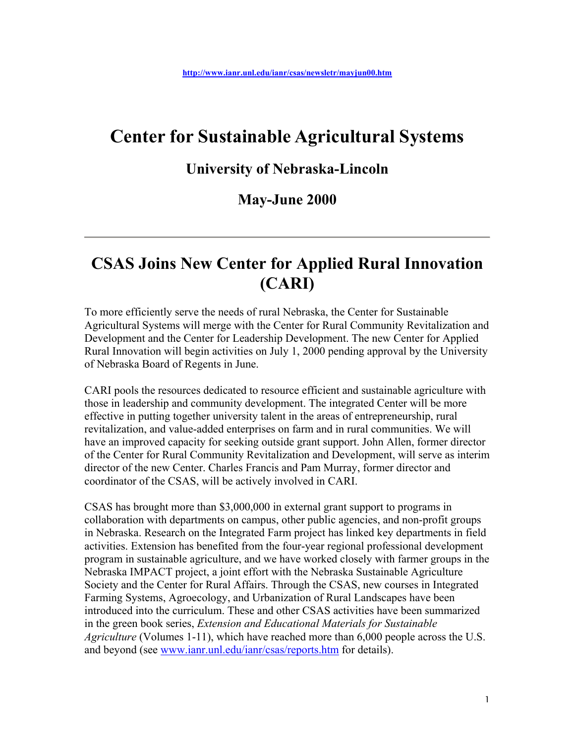# **Center for Sustainable Agricultural Systems**

#### **University of Nebraska-Lincoln**

#### **May-June 2000**

# **CSAS Joins New Center for Applied Rural Innovation (CARI)**

To more efficiently serve the needs of rural Nebraska, the Center for Sustainable Agricultural Systems will merge with the Center for Rural Community Revitalization and Development and the Center for Leadership Development. The new Center for Applied Rural Innovation will begin activities on July 1, 2000 pending approval by the University of Nebraska Board of Regents in June.

CARI pools the resources dedicated to resource efficient and sustainable agriculture with those in leadership and community development. The integrated Center will be more effective in putting together university talent in the areas of entrepreneurship, rural revitalization, and value-added enterprises on farm and in rural communities. We will have an improved capacity for seeking outside grant support. John Allen, former director of the Center for Rural Community Revitalization and Development, will serve as interim director of the new Center. Charles Francis and Pam Murray, former director and coordinator of the CSAS, will be actively involved in CARI.

CSAS has brought more than \$3,000,000 in external grant support to programs in collaboration with departments on campus, other public agencies, and non-profit groups in Nebraska. Research on the Integrated Farm project has linked key departments in field activities. Extension has benefited from the four-year regional professional development program in sustainable agriculture, and we have worked closely with farmer groups in the Nebraska IMPACT project, a joint effort with the Nebraska Sustainable Agriculture Society and the Center for Rural Affairs. Through the CSAS, new courses in Integrated Farming Systems, Agroecology, and Urbanization of Rural Landscapes have been introduced into the curriculum. These and other CSAS activities have been summarized in the green book series, *Extension and Educational Materials for Sustainable Agriculture* (Volumes 1-11), which have reached more than 6,000 people across the U.S. and beyond (see www.ianr.unl.edu/ianr/csas/reports.htm for details).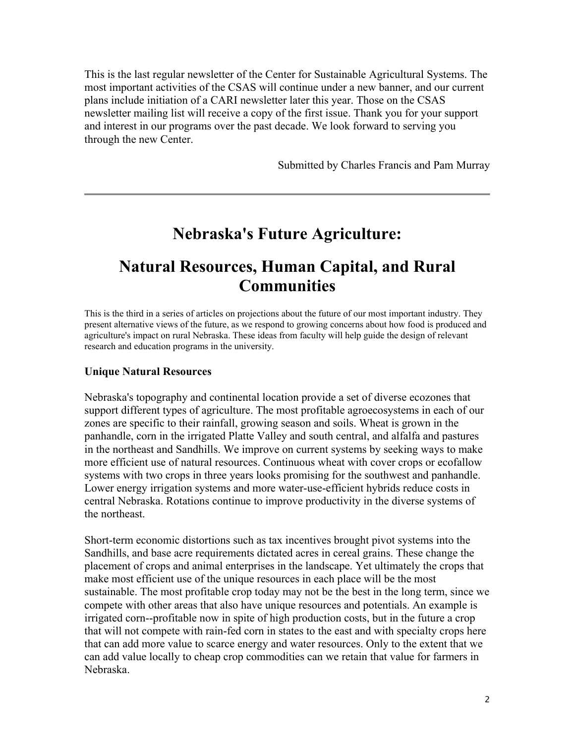This is the last regular newsletter of the Center for Sustainable Agricultural Systems. The most important activities of the CSAS will continue under a new banner, and our current plans include initiation of a CARI newsletter later this year. Those on the CSAS newsletter mailing list will receive a copy of the first issue. Thank you for your support and interest in our programs over the past decade. We look forward to serving you through the new Center.

Submitted by Charles Francis and Pam Murray

### **Nebraska's Future Agriculture:**

## **Natural Resources, Human Capital, and Rural Communities**

This is the third in a series of articles on projections about the future of our most important industry. They present alternative views of the future, as we respond to growing concerns about how food is produced and agriculture's impact on rural Nebraska. These ideas from faculty will help guide the design of relevant research and education programs in the university.

#### **Unique Natural Resources**

Nebraska's topography and continental location provide a set of diverse ecozones that support different types of agriculture. The most profitable agroecosystems in each of our zones are specific to their rainfall, growing season and soils. Wheat is grown in the panhandle, corn in the irrigated Platte Valley and south central, and alfalfa and pastures in the northeast and Sandhills. We improve on current systems by seeking ways to make more efficient use of natural resources. Continuous wheat with cover crops or ecofallow systems with two crops in three years looks promising for the southwest and panhandle. Lower energy irrigation systems and more water-use-efficient hybrids reduce costs in central Nebraska. Rotations continue to improve productivity in the diverse systems of the northeast.

Short-term economic distortions such as tax incentives brought pivot systems into the Sandhills, and base acre requirements dictated acres in cereal grains. These change the placement of crops and animal enterprises in the landscape. Yet ultimately the crops that make most efficient use of the unique resources in each place will be the most sustainable. The most profitable crop today may not be the best in the long term, since we compete with other areas that also have unique resources and potentials. An example is irrigated corn--profitable now in spite of high production costs, but in the future a crop that will not compete with rain-fed corn in states to the east and with specialty crops here that can add more value to scarce energy and water resources. Only to the extent that we can add value locally to cheap crop commodities can we retain that value for farmers in Nebraska.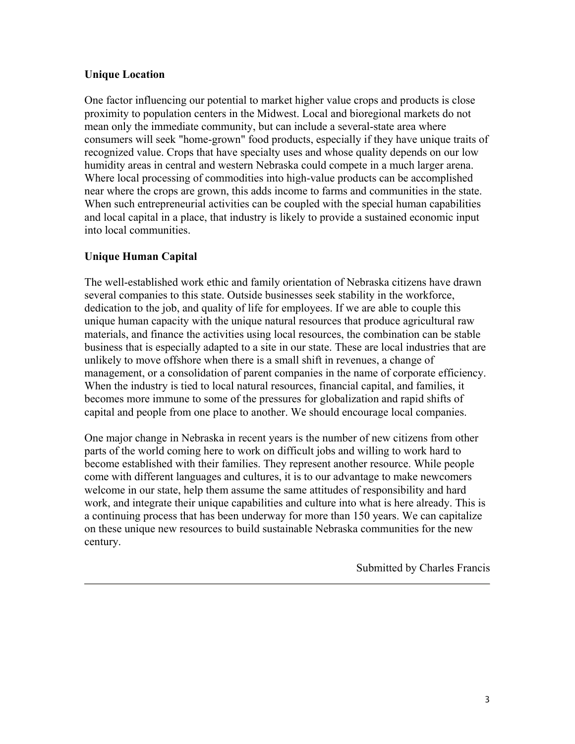#### **Unique Location**

One factor influencing our potential to market higher value crops and products is close proximity to population centers in the Midwest. Local and bioregional markets do not mean only the immediate community, but can include a several-state area where consumers will seek "home-grown" food products, especially if they have unique traits of recognized value. Crops that have specialty uses and whose quality depends on our low humidity areas in central and western Nebraska could compete in a much larger arena. Where local processing of commodities into high-value products can be accomplished near where the crops are grown, this adds income to farms and communities in the state. When such entrepreneurial activities can be coupled with the special human capabilities and local capital in a place, that industry is likely to provide a sustained economic input into local communities.

#### **Unique Human Capital**

The well-established work ethic and family orientation of Nebraska citizens have drawn several companies to this state. Outside businesses seek stability in the workforce, dedication to the job, and quality of life for employees. If we are able to couple this unique human capacity with the unique natural resources that produce agricultural raw materials, and finance the activities using local resources, the combination can be stable business that is especially adapted to a site in our state. These are local industries that are unlikely to move offshore when there is a small shift in revenues, a change of management, or a consolidation of parent companies in the name of corporate efficiency. When the industry is tied to local natural resources, financial capital, and families, it becomes more immune to some of the pressures for globalization and rapid shifts of capital and people from one place to another. We should encourage local companies.

One major change in Nebraska in recent years is the number of new citizens from other parts of the world coming here to work on difficult jobs and willing to work hard to become established with their families. They represent another resource. While people come with different languages and cultures, it is to our advantage to make newcomers welcome in our state, help them assume the same attitudes of responsibility and hard work, and integrate their unique capabilities and culture into what is here already. This is a continuing process that has been underway for more than 150 years. We can capitalize on these unique new resources to build sustainable Nebraska communities for the new century.

Submitted by Charles Francis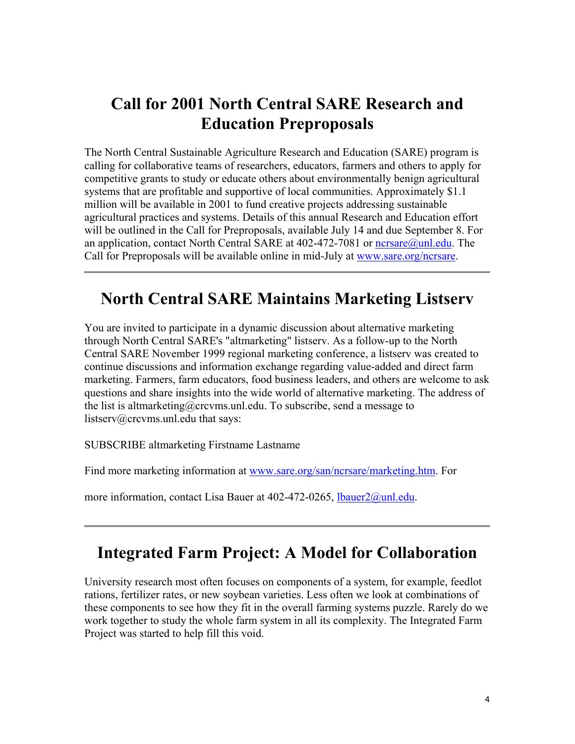# **Call for 2001 North Central SARE Research and Education Preproposals**

The North Central Sustainable Agriculture Research and Education (SARE) program is calling for collaborative teams of researchers, educators, farmers and others to apply for competitive grants to study or educate others about environmentally benign agricultural systems that are profitable and supportive of local communities. Approximately \$1.1 million will be available in 2001 to fund creative projects addressing sustainable agricultural practices and systems. Details of this annual Research and Education effort will be outlined in the Call for Preproposals, available July 14 and due September 8. For an application, contact North Central SARE at 402-472-7081 or nersare@unl.edu. The Call for Preproposals will be available online in mid-July at www.sare.org/ncrsare.

## **North Central SARE Maintains Marketing Listserv**

You are invited to participate in a dynamic discussion about alternative marketing through North Central SARE's "altmarketing" listserv. As a follow-up to the North Central SARE November 1999 regional marketing conference, a listserv was created to continue discussions and information exchange regarding value-added and direct farm marketing. Farmers, farm educators, food business leaders, and others are welcome to ask questions and share insights into the wide world of alternative marketing. The address of the list is altmarketing@crcvms.unl.edu. To subscribe, send a message to listserv@crcvms.unl.edu that says:

SUBSCRIBE altmarketing Firstname Lastname

Find more marketing information at www.sare.org/san/ncrsare/marketing.htm. For

more information, contact Lisa Bauer at 402-472-0265, *lbauer2@unl.edu.* 

## **Integrated Farm Project: A Model for Collaboration**

University research most often focuses on components of a system, for example, feedlot rations, fertilizer rates, or new soybean varieties. Less often we look at combinations of these components to see how they fit in the overall farming systems puzzle. Rarely do we work together to study the whole farm system in all its complexity. The Integrated Farm Project was started to help fill this void.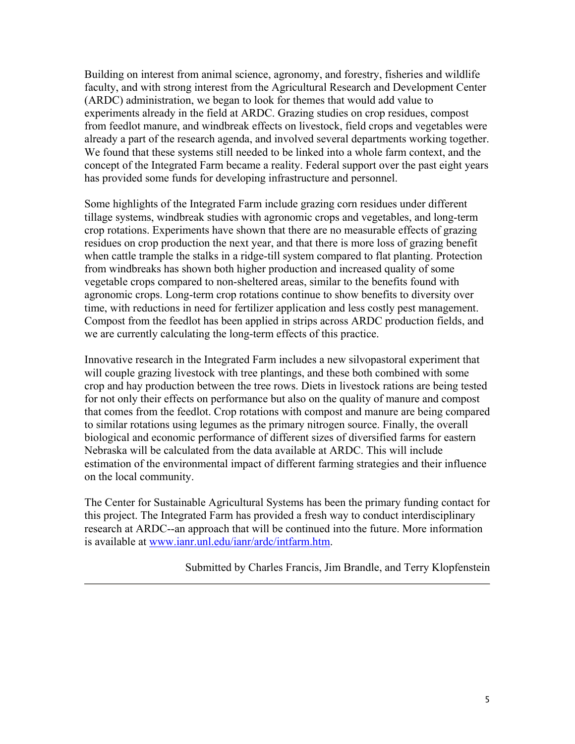Building on interest from animal science, agronomy, and forestry, fisheries and wildlife faculty, and with strong interest from the Agricultural Research and Development Center (ARDC) administration, we began to look for themes that would add value to experiments already in the field at ARDC. Grazing studies on crop residues, compost from feedlot manure, and windbreak effects on livestock, field crops and vegetables were already a part of the research agenda, and involved several departments working together. We found that these systems still needed to be linked into a whole farm context, and the concept of the Integrated Farm became a reality. Federal support over the past eight years has provided some funds for developing infrastructure and personnel.

Some highlights of the Integrated Farm include grazing corn residues under different tillage systems, windbreak studies with agronomic crops and vegetables, and long-term crop rotations. Experiments have shown that there are no measurable effects of grazing residues on crop production the next year, and that there is more loss of grazing benefit when cattle trample the stalks in a ridge-till system compared to flat planting. Protection from windbreaks has shown both higher production and increased quality of some vegetable crops compared to non-sheltered areas, similar to the benefits found with agronomic crops. Long-term crop rotations continue to show benefits to diversity over time, with reductions in need for fertilizer application and less costly pest management. Compost from the feedlot has been applied in strips across ARDC production fields, and we are currently calculating the long-term effects of this practice.

Innovative research in the Integrated Farm includes a new silvopastoral experiment that will couple grazing livestock with tree plantings, and these both combined with some crop and hay production between the tree rows. Diets in livestock rations are being tested for not only their effects on performance but also on the quality of manure and compost that comes from the feedlot. Crop rotations with compost and manure are being compared to similar rotations using legumes as the primary nitrogen source. Finally, the overall biological and economic performance of different sizes of diversified farms for eastern Nebraska will be calculated from the data available at ARDC. This will include estimation of the environmental impact of different farming strategies and their influence on the local community.

The Center for Sustainable Agricultural Systems has been the primary funding contact for this project. The Integrated Farm has provided a fresh way to conduct interdisciplinary research at ARDC--an approach that will be continued into the future. More information is available at www.ianr.unl.edu/ianr/ardc/intfarm.htm.

Submitted by Charles Francis, Jim Brandle, and Terry Klopfenstein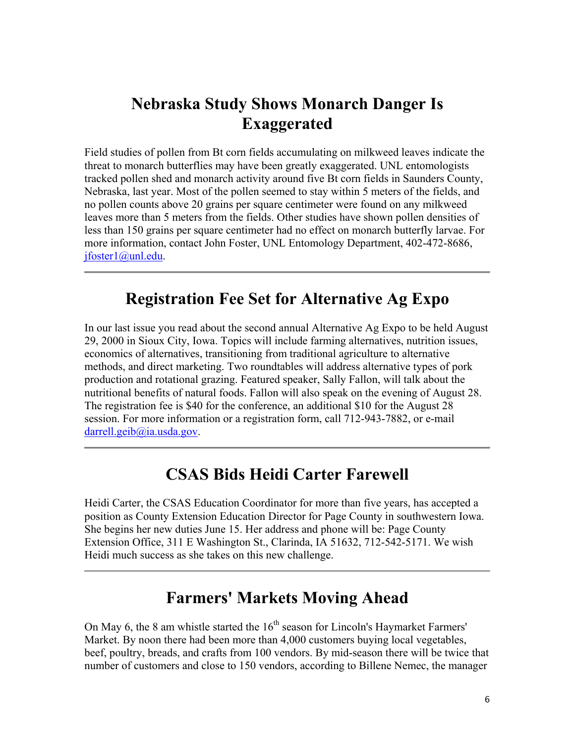# **Nebraska Study Shows Monarch Danger Is Exaggerated**

Field studies of pollen from Bt corn fields accumulating on milkweed leaves indicate the threat to monarch butterflies may have been greatly exaggerated. UNL entomologists tracked pollen shed and monarch activity around five Bt corn fields in Saunders County, Nebraska, last year. Most of the pollen seemed to stay within 5 meters of the fields, and no pollen counts above 20 grains per square centimeter were found on any milkweed leaves more than 5 meters from the fields. Other studies have shown pollen densities of less than 150 grains per square centimeter had no effect on monarch butterfly larvae. For more information, contact John Foster, UNL Entomology Department, 402-472-8686, jfoster1@unl.edu.

### **Registration Fee Set for Alternative Ag Expo**

In our last issue you read about the second annual Alternative Ag Expo to be held August 29, 2000 in Sioux City, Iowa. Topics will include farming alternatives, nutrition issues, economics of alternatives, transitioning from traditional agriculture to alternative methods, and direct marketing. Two roundtables will address alternative types of pork production and rotational grazing. Featured speaker, Sally Fallon, will talk about the nutritional benefits of natural foods. Fallon will also speak on the evening of August 28. The registration fee is \$40 for the conference, an additional \$10 for the August 28 session. For more information or a registration form, call 712-943-7882, or e-mail darrell.geib@ia.usda.gov.

### **CSAS Bids Heidi Carter Farewell**

Heidi Carter, the CSAS Education Coordinator for more than five years, has accepted a position as County Extension Education Director for Page County in southwestern Iowa. She begins her new duties June 15. Her address and phone will be: Page County Extension Office, 311 E Washington St., Clarinda, IA 51632, 712-542-5171. We wish Heidi much success as she takes on this new challenge.

## **Farmers' Markets Moving Ahead**

On May 6, the 8 am whistle started the  $16<sup>th</sup>$  season for Lincoln's Haymarket Farmers' Market. By noon there had been more than 4,000 customers buying local vegetables, beef, poultry, breads, and crafts from 100 vendors. By mid-season there will be twice that number of customers and close to 150 vendors, according to Billene Nemec, the manager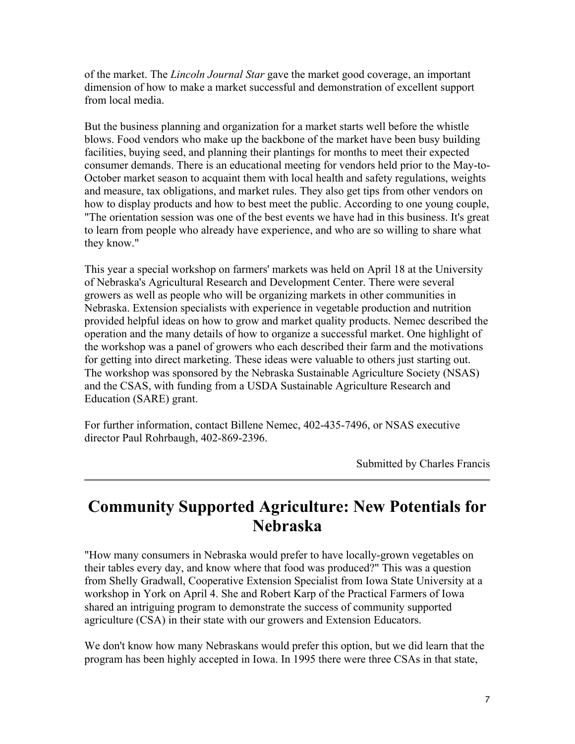of the market. The *Lincoln Journal Star* gave the market good coverage, an important dimension of how to make a market successful and demonstration of excellent support from local media.

But the business planning and organization for a market starts well before the whistle blows. Food vendors who make up the backbone of the market have been busy building facilities, buying seed, and planning their plantings for months to meet their expected consumer demands. There is an educational meeting for vendors held prior to the May-to-October market season to acquaint them with local health and safety regulations, weights and measure, tax obligations, and market rules. They also get tips from other vendors on how to display products and how to best meet the public. According to one young couple, "The orientation session was one of the best events we have had in this business. It's great to learn from people who already have experience, and who are so willing to share what they know."

This year a special workshop on farmers' markets was held on April 18 at the University of Nebraska's Agricultural Research and Development Center. There were several growers as well as people who will be organizing markets in other communities in Nebraska. Extension specialists with experience in vegetable production and nutrition provided helpful ideas on how to grow and market quality products. Nemec described the operation and the many details of how to organize a successful market. One highlight of the workshop was a panel of growers who each described their farm and the motivations for getting into direct marketing. These ideas were valuable to others just starting out. The workshop was sponsored by the Nebraska Sustainable Agriculture Society (NSAS) and the CSAS, with funding from a USDA Sustainable Agriculture Research and Education (SARE) grant.

For further information, contact Billene Nemec, 402-435-7496, or NSAS executive director Paul Rohrbaugh, 402-869-2396.

Submitted by Charles Francis

### **Community Supported Agriculture: New Potentials for Nebraska**

"How many consumers in Nebraska would prefer to have locally-grown vegetables on their tables every day, and know where that food was produced?" This was a question from Shelly Gradwall, Cooperative Extension Specialist from Iowa State University at a workshop in York on April 4. She and Robert Karp of the Practical Farmers of Iowa shared an intriguing program to demonstrate the success of community supported agriculture (CSA) in their state with our growers and Extension Educators.

We don't know how many Nebraskans would prefer this option, but we did learn that the program has been highly accepted in Iowa. In 1995 there were three CSAs in that state,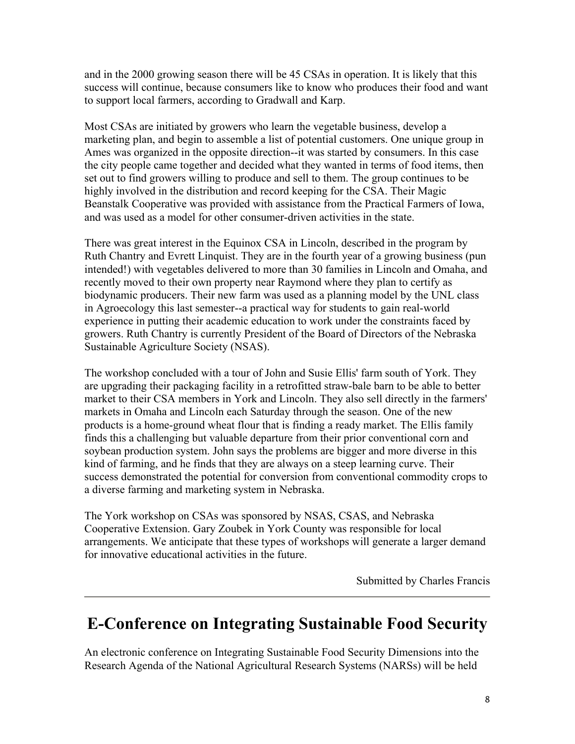and in the 2000 growing season there will be 45 CSAs in operation. It is likely that this success will continue, because consumers like to know who produces their food and want to support local farmers, according to Gradwall and Karp.

Most CSAs are initiated by growers who learn the vegetable business, develop a marketing plan, and begin to assemble a list of potential customers. One unique group in Ames was organized in the opposite direction--it was started by consumers. In this case the city people came together and decided what they wanted in terms of food items, then set out to find growers willing to produce and sell to them. The group continues to be highly involved in the distribution and record keeping for the CSA. Their Magic Beanstalk Cooperative was provided with assistance from the Practical Farmers of Iowa, and was used as a model for other consumer-driven activities in the state.

There was great interest in the Equinox CSA in Lincoln, described in the program by Ruth Chantry and Evrett Linquist. They are in the fourth year of a growing business (pun intended!) with vegetables delivered to more than 30 families in Lincoln and Omaha, and recently moved to their own property near Raymond where they plan to certify as biodynamic producers. Their new farm was used as a planning model by the UNL class in Agroecology this last semester--a practical way for students to gain real-world experience in putting their academic education to work under the constraints faced by growers. Ruth Chantry is currently President of the Board of Directors of the Nebraska Sustainable Agriculture Society (NSAS).

The workshop concluded with a tour of John and Susie Ellis' farm south of York. They are upgrading their packaging facility in a retrofitted straw-bale barn to be able to better market to their CSA members in York and Lincoln. They also sell directly in the farmers' markets in Omaha and Lincoln each Saturday through the season. One of the new products is a home-ground wheat flour that is finding a ready market. The Ellis family finds this a challenging but valuable departure from their prior conventional corn and soybean production system. John says the problems are bigger and more diverse in this kind of farming, and he finds that they are always on a steep learning curve. Their success demonstrated the potential for conversion from conventional commodity crops to a diverse farming and marketing system in Nebraska.

The York workshop on CSAs was sponsored by NSAS, CSAS, and Nebraska Cooperative Extension. Gary Zoubek in York County was responsible for local arrangements. We anticipate that these types of workshops will generate a larger demand for innovative educational activities in the future.

Submitted by Charles Francis

### **E-Conference on Integrating Sustainable Food Security**

An electronic conference on Integrating Sustainable Food Security Dimensions into the Research Agenda of the National Agricultural Research Systems (NARSs) will be held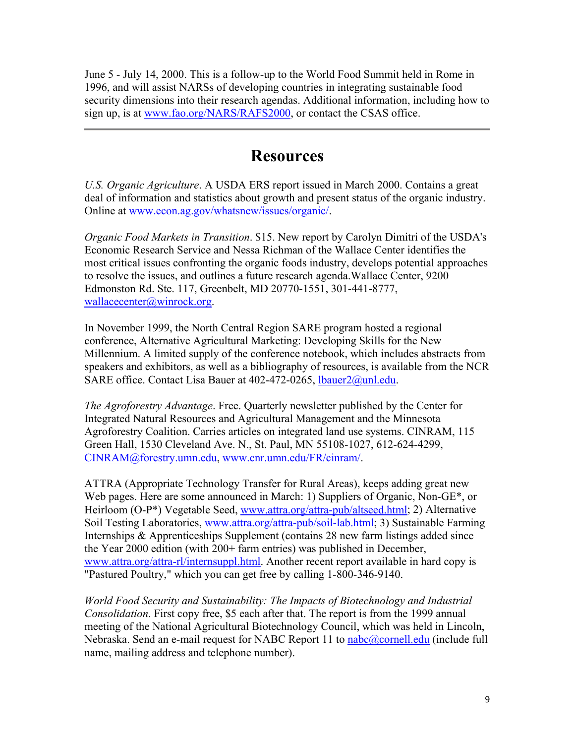June 5 - July 14, 2000. This is a follow-up to the World Food Summit held in Rome in 1996, and will assist NARSs of developing countries in integrating sustainable food security dimensions into their research agendas. Additional information, including how to sign up, is at www.fao.org/NARS/RAFS2000, or contact the CSAS office.

### **Resources**

*U.S. Organic Agriculture*. A USDA ERS report issued in March 2000. Contains a great deal of information and statistics about growth and present status of the organic industry. Online at www.econ.ag.gov/whatsnew/issues/organic/.

*Organic Food Markets in Transition*. \$15. New report by Carolyn Dimitri of the USDA's Economic Research Service and Nessa Richman of the Wallace Center identifies the most critical issues confronting the organic foods industry, develops potential approaches to resolve the issues, and outlines a future research agenda.Wallace Center, 9200 Edmonston Rd. Ste. 117, Greenbelt, MD 20770-1551, 301-441-8777, wallacecenter@winrock.org.

In November 1999, the North Central Region SARE program hosted a regional conference, Alternative Agricultural Marketing: Developing Skills for the New Millennium. A limited supply of the conference notebook, which includes abstracts from speakers and exhibitors, as well as a bibliography of resources, is available from the NCR SARE office. Contact Lisa Bauer at 402-472-0265, lbauer2@unl.edu.

*The Agroforestry Advantage*. Free. Quarterly newsletter published by the Center for Integrated Natural Resources and Agricultural Management and the Minnesota Agroforestry Coalition. Carries articles on integrated land use systems. CINRAM, 115 Green Hall, 1530 Cleveland Ave. N., St. Paul, MN 55108-1027, 612-624-4299, CINRAM@forestry.umn.edu, www.cnr.umn.edu/FR/cinram/.

ATTRA (Appropriate Technology Transfer for Rural Areas), keeps adding great new Web pages. Here are some announced in March: 1) Suppliers of Organic, Non-GE\*, or Heirloom (O-P\*) Vegetable Seed, www.attra.org/attra-pub/altseed.html; 2) Alternative Soil Testing Laboratories, www.attra.org/attra-pub/soil-lab.html; 3) Sustainable Farming Internships & Apprenticeships Supplement (contains 28 new farm listings added since the Year 2000 edition (with 200+ farm entries) was published in December, www.attra.org/attra-rl/internsuppl.html. Another recent report available in hard copy is "Pastured Poultry," which you can get free by calling 1-800-346-9140.

*World Food Security and Sustainability: The Impacts of Biotechnology and Industrial Consolidation*. First copy free, \$5 each after that. The report is from the 1999 annual meeting of the National Agricultural Biotechnology Council, which was held in Lincoln, Nebraska. Send an e-mail request for NABC Report 11 to nabc@cornell.edu (include full name, mailing address and telephone number).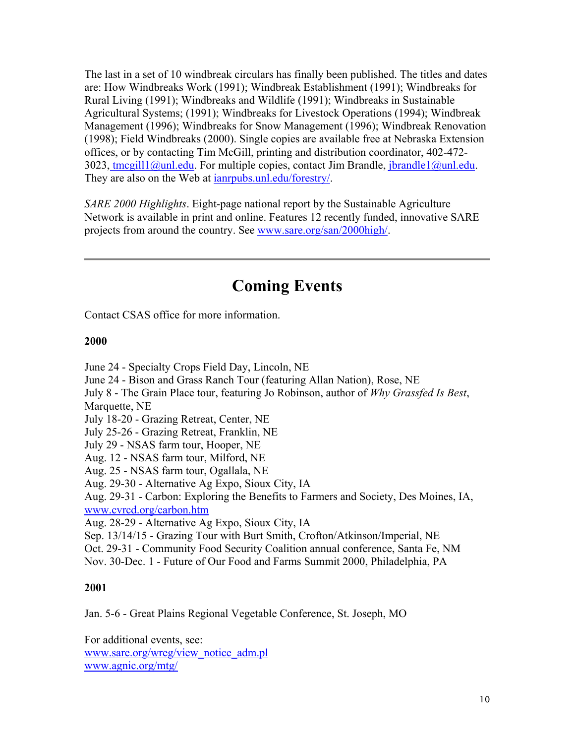The last in a set of 10 windbreak circulars has finally been published. The titles and dates are: How Windbreaks Work (1991); Windbreak Establishment (1991); Windbreaks for Rural Living (1991); Windbreaks and Wildlife (1991); Windbreaks in Sustainable Agricultural Systems; (1991); Windbreaks for Livestock Operations (1994); Windbreak Management (1996); Windbreaks for Snow Management (1996); Windbreak Renovation (1998); Field Windbreaks (2000). Single copies are available free at Nebraska Extension offices, or by contacting Tim McGill, printing and distribution coordinator, 402-472- 3023, tmcgill1@unl.edu. For multiple copies, contact Jim Brandle, jbrandle1@unl.edu. They are also on the Web at ianrpubs.unl.edu/forestry/.

*SARE 2000 Highlights*. Eight-page national report by the Sustainable Agriculture Network is available in print and online. Features 12 recently funded, innovative SARE projects from around the country. See www.sare.org/san/2000high/.

# **Coming Events**

Contact CSAS office for more information.

#### **2000**

June 24 - Specialty Crops Field Day, Lincoln, NE June 24 - Bison and Grass Ranch Tour (featuring Allan Nation), Rose, NE July 8 - The Grain Place tour, featuring Jo Robinson, author of *Why Grassfed Is Best*, Marquette, NE July 18-20 - Grazing Retreat, Center, NE July 25-26 - Grazing Retreat, Franklin, NE July 29 - NSAS farm tour, Hooper, NE Aug. 12 - NSAS farm tour, Milford, NE Aug. 25 - NSAS farm tour, Ogallala, NE Aug. 29-30 - Alternative Ag Expo, Sioux City, IA Aug. 29-31 - Carbon: Exploring the Benefits to Farmers and Society, Des Moines, IA, www.cvrcd.org/carbon.htm Aug. 28-29 - Alternative Ag Expo, Sioux City, IA Sep. 13/14/15 - Grazing Tour with Burt Smith, Crofton/Atkinson/Imperial, NE Oct. 29-31 - Community Food Security Coalition annual conference, Santa Fe, NM Nov. 30-Dec. 1 - Future of Our Food and Farms Summit 2000, Philadelphia, PA

#### **2001**

Jan. 5-6 - Great Plains Regional Vegetable Conference, St. Joseph, MO

For additional events, see: www.sare.org/wreg/view\_notice\_adm.pl www.agnic.org/mtg/